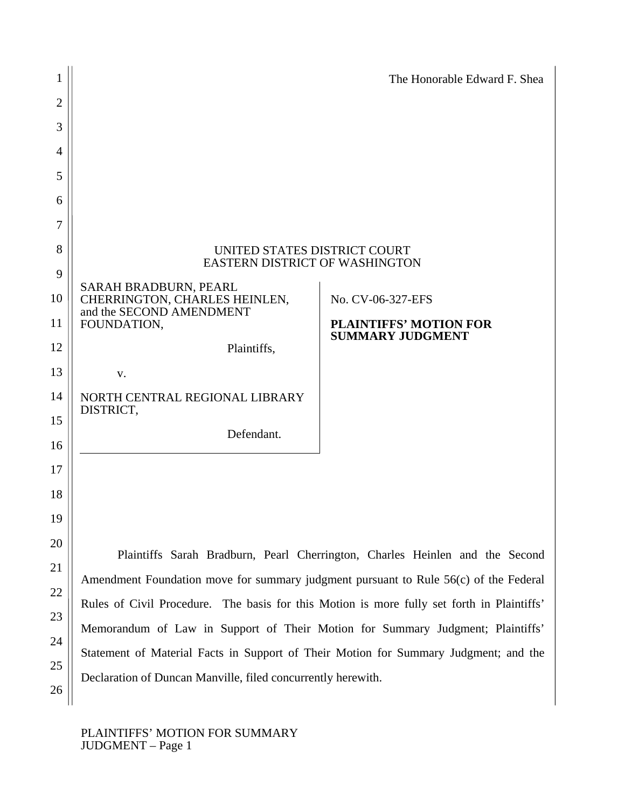|                |                                                                                                                                                                                                                                                                                                                                                              | The Honorable Edward F. Shea                                                 |  |
|----------------|--------------------------------------------------------------------------------------------------------------------------------------------------------------------------------------------------------------------------------------------------------------------------------------------------------------------------------------------------------------|------------------------------------------------------------------------------|--|
| $\overline{2}$ |                                                                                                                                                                                                                                                                                                                                                              |                                                                              |  |
| 3              |                                                                                                                                                                                                                                                                                                                                                              |                                                                              |  |
| 4              |                                                                                                                                                                                                                                                                                                                                                              |                                                                              |  |
| 5              |                                                                                                                                                                                                                                                                                                                                                              |                                                                              |  |
| 6              |                                                                                                                                                                                                                                                                                                                                                              |                                                                              |  |
| 7              |                                                                                                                                                                                                                                                                                                                                                              |                                                                              |  |
| 8<br>9         | UNITED STATES DISTRICT COURT<br><b>EASTERN DISTRICT OF WASHINGTON</b>                                                                                                                                                                                                                                                                                        |                                                                              |  |
| 10             | SARAH BRADBURN, PEARL<br>CHERRINGTON, CHARLES HEINLEN,<br>and the SECOND AMENDMENT                                                                                                                                                                                                                                                                           | No. CV-06-327-EFS                                                            |  |
| 11             | FOUNDATION,                                                                                                                                                                                                                                                                                                                                                  | <b>PLAINTIFFS' MOTION FOR</b><br><b>SUMMARY JUDGMENT</b>                     |  |
| 12             | Plaintiffs,                                                                                                                                                                                                                                                                                                                                                  |                                                                              |  |
| 13             | V.                                                                                                                                                                                                                                                                                                                                                           |                                                                              |  |
| 14             | NORTH CENTRAL REGIONAL LIBRARY<br>DISTRICT,                                                                                                                                                                                                                                                                                                                  |                                                                              |  |
| 15             | Defendant.                                                                                                                                                                                                                                                                                                                                                   |                                                                              |  |
| 16             |                                                                                                                                                                                                                                                                                                                                                              |                                                                              |  |
| 17             |                                                                                                                                                                                                                                                                                                                                                              |                                                                              |  |
| 18             |                                                                                                                                                                                                                                                                                                                                                              |                                                                              |  |
| 19             |                                                                                                                                                                                                                                                                                                                                                              |                                                                              |  |
| 20             |                                                                                                                                                                                                                                                                                                                                                              | Plaintiffs Sarah Bradburn, Pearl Cherrington, Charles Heinlen and the Second |  |
| 21             | Amendment Foundation move for summary judgment pursuant to Rule 56(c) of the Federal<br>Rules of Civil Procedure. The basis for this Motion is more fully set forth in Plaintiffs'<br>Memorandum of Law in Support of Their Motion for Summary Judgment; Plaintiffs'<br>Statement of Material Facts in Support of Their Motion for Summary Judgment; and the |                                                                              |  |
| 22             |                                                                                                                                                                                                                                                                                                                                                              |                                                                              |  |
| 23             |                                                                                                                                                                                                                                                                                                                                                              |                                                                              |  |
| 24             |                                                                                                                                                                                                                                                                                                                                                              |                                                                              |  |
| 25             |                                                                                                                                                                                                                                                                                                                                                              |                                                                              |  |
| 26             | Declaration of Duncan Manville, filed concurrently herewith.                                                                                                                                                                                                                                                                                                 |                                                                              |  |

## PLAINTIFFS' MOTION FOR SUMMARY JUDGMENT – Page 1